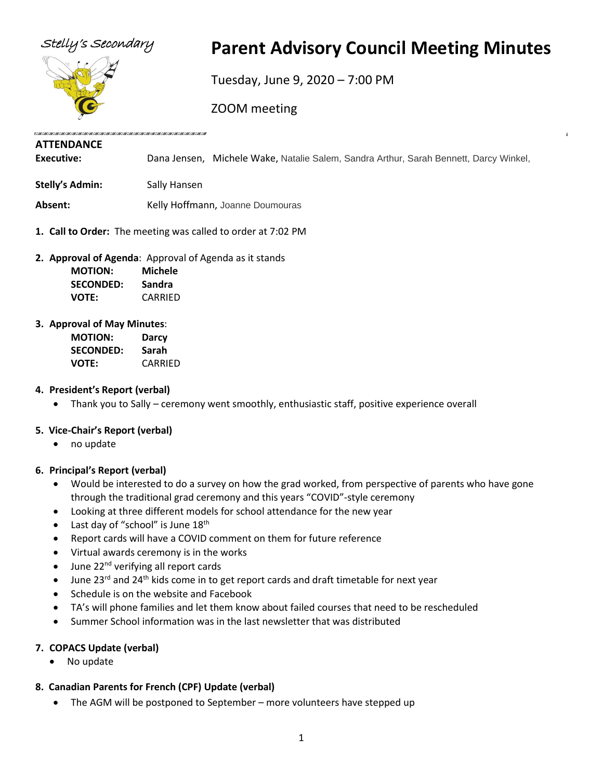

# Stelly's Secondary **Parent Advisory Council Meeting Minutes**

Tuesday, June 9, 2020 – 7:00 PM

ZOOM meeting

# **ATTENDANCE**

**Executive:** Dana Jensen, Michele Wake, Natalie Salem, Sandra Arthur, Sarah Bennett, Darcy Winkel,

**Stelly's Admin:** Sally Hansen

Absent: **Absent:** Kelly Hoffmann, Joanne Doumouras

- **1. Call to Order:** The meeting was called to order at 7:02 PM
- **2. Approval of Agenda**: Approval of Agenda as it stands

| <b>MOTION:</b>   | Michele |
|------------------|---------|
| <b>SECONDED:</b> | Sandra  |
| <b>VOTE:</b>     | CARRIED |

#### **3. Approval of May Minutes**:

| <b>MOTION:</b>   | Darcy   |
|------------------|---------|
| <b>SECONDED:</b> | Sarah   |
| <b>VOTE:</b>     | CARRIED |

# **4. President's Report (verbal)**

• Thank you to Sally – ceremony went smoothly, enthusiastic staff, positive experience overall

# **5. Vice-Chair's Report (verbal)**

• no update

# **6. Principal's Report (verbal)**

- Would be interested to do a survey on how the grad worked, from perspective of parents who have gone through the traditional grad ceremony and this years "COVID"-style ceremony
- Looking at three different models for school attendance for the new year
- Last day of "school" is June 18<sup>th</sup>
- Report cards will have a COVID comment on them for future reference
- Virtual awards ceremony is in the works
- June 22<sup>nd</sup> verifying all report cards
- June 23<sup>rd</sup> and 24<sup>th</sup> kids come in to get report cards and draft timetable for next year
- Schedule is on the website and Facebook
- TA's will phone families and let them know about failed courses that need to be rescheduled
- Summer School information was in the last newsletter that was distributed

# **7. COPACS Update (verbal)**

• No update

# **8. Canadian Parents for French (CPF) Update (verbal)**

• The AGM will be postponed to September – more volunteers have stepped up